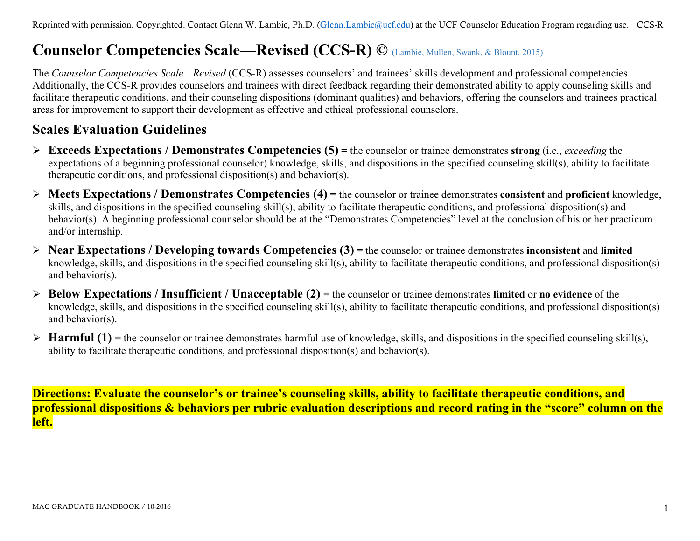# **Counselor Competencies Scale—Revised (CCS-R) ©** (Lambie, Mullen, Swank, & Blount, 2015)

The *Counselor Competencies Scale—Revised* (CCS-R) assesses counselors' and trainees' skills development and professional competencies. Additionally, the CCS-R provides counselors and trainees with direct feedback regarding their demonstrated ability to apply counseling skills and facilitate therapeutic conditions, and their counseling dispositions (dominant qualities) and behaviors, offering the counselors and trainees practical areas for improvement to support their development as effective and ethical professional counselors.

### **Scales Evaluation Guidelines**

- Ø **Exceeds Expectations / Demonstrates Competencies (5) =** the counselor or trainee demonstrates **strong** (i.e., *exceeding* the expectations of a beginning professional counselor) knowledge, skills, and dispositions in the specified counseling skill(s), ability to facilitate therapeutic conditions, and professional disposition(s) and behavior(s).
- Ø **Meets Expectations / Demonstrates Competencies (4) =** the counselor or trainee demonstrates **consistent** and **proficient** knowledge, skills, and dispositions in the specified counseling skill(s), ability to facilitate therapeutic conditions, and professional disposition(s) and behavior(s). A beginning professional counselor should be at the "Demonstrates Competencies" level at the conclusion of his or her practicum and/or internship.
- Ø **Near Expectations / Developing towards Competencies (3) =** the counselor or trainee demonstrates **inconsistent** and **limited**  knowledge, skills, and dispositions in the specified counseling skill(s), ability to facilitate therapeutic conditions, and professional disposition(s) and behavior(s).
- Ø **Below Expectations / Insufficient / Unacceptable (2) =** the counselor or trainee demonstrates **limited** or **no evidence** of the knowledge, skills, and dispositions in the specified counseling skill(s), ability to facilitate therapeutic conditions, and professional disposition(s) and behavior(s).
- $\triangleright$  **Harmful (1)** = the counselor or trainee demonstrates harmful use of knowledge, skills, and dispositions in the specified counseling skill(s), ability to facilitate therapeutic conditions, and professional disposition(s) and behavior(s).

**Directions: Evaluate the counselor's or trainee's counseling skills, ability to facilitate therapeutic conditions, and professional dispositions & behaviors per rubric evaluation descriptions and record rating in the "score" column on the left.**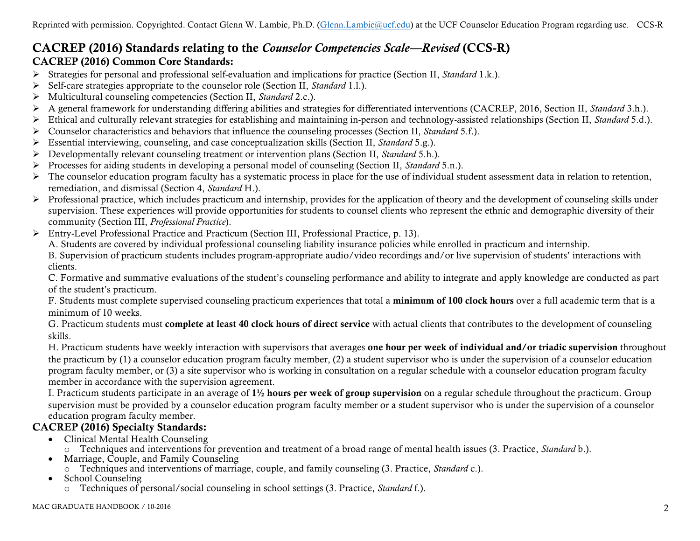### CACREP (2016) Standards relating to the *Counselor Competencies Scale—Revised* (CCS-R) CACREP (2016) Common Core Standards:

- Ø Strategies for personal and professional self-evaluation and implications for practice (Section II, *Standard* 1.k.).
- Ø Self-care strategies appropriate to the counselor role (Section II, *Standard* 1.l.).
- Ø Multicultural counseling competencies (Section II, *Standard* 2.c.).
- Ø A general framework for understanding differing abilities and strategies for differentiated interventions (CACREP, 2016, Section II, *Standard* 3.h.).
- Ø Ethical and culturally relevant strategies for establishing and maintaining in-person and technology-assisted relationships (Section II, *Standard* 5.d.).
- Ø Counselor characteristics and behaviors that influence the counseling processes (Section II, *Standard* 5.f.).
- Ø Essential interviewing, counseling, and case conceptualization skills (Section II, *Standard* 5.g.).
- Ø Developmentally relevant counseling treatment or intervention plans (Section II, *Standard* 5.h.).
- Ø Processes for aiding students in developing a personal model of counseling (Section II, *Standard* 5.n.).
- $\triangleright$  The counselor education program faculty has a systematic process in place for the use of individual student assessment data in relation to retention, remediation, and dismissal (Section 4, *Standard* H.).
- $\triangleright$  Professional practice, which includes practicum and internship, provides for the application of theory and the development of counseling skills under supervision. These experiences will provide opportunities for students to counsel clients who represent the ethnic and demographic diversity of their community (Section III, *Professional Practice*).
- Ø Entry-Level Professional Practice and Practicum (Section III, Professional Practice, p. 13).
	- A. Students are covered by individual professional counseling liability insurance policies while enrolled in practicum and internship.
	- B. Supervision of practicum students includes program-appropriate audio/video recordings and/or live supervision of students' interactions with clients.

C. Formative and summative evaluations of the student's counseling performance and ability to integrate and apply knowledge are conducted as part of the student's practicum.

F. Students must complete supervised counseling practicum experiences that total a minimum of 100 clock hours over a full academic term that is a minimum of 10 weeks.

G. Practicum students must complete at least 40 clock hours of direct service with actual clients that contributes to the development of counseling skills.

H. Practicum students have weekly interaction with supervisors that averages one hour per week of individual and/or triadic supervision throughout the practicum by (1) a counselor education program faculty member, (2) a student supervisor who is under the supervision of a counselor education program faculty member, or (3) a site supervisor who is working in consultation on a regular schedule with a counselor education program faculty member in accordance with the supervision agreement.

I. Practicum students participate in an average of  $1\frac{1}{2}$  hours per week of group supervision on a regular schedule throughout the practicum. Group supervision must be provided by a counselor education program faculty member or a student supervisor who is under the supervision of a counselor education program faculty member.

### CACREP (2016) Specialty Standards:

- Clinical Mental Health Counseling
- o Techniques and interventions for prevention and treatment of a broad range of mental health issues (3. Practice, *Standard* b.).
- Marriage, Couple, and Family Counseling
	- o Techniques and interventions of marriage, couple, and family counseling (3. Practice, *Standard* c.).
- School Counseling
	- o Techniques of personal/social counseling in school settings (3. Practice, *Standard* f.).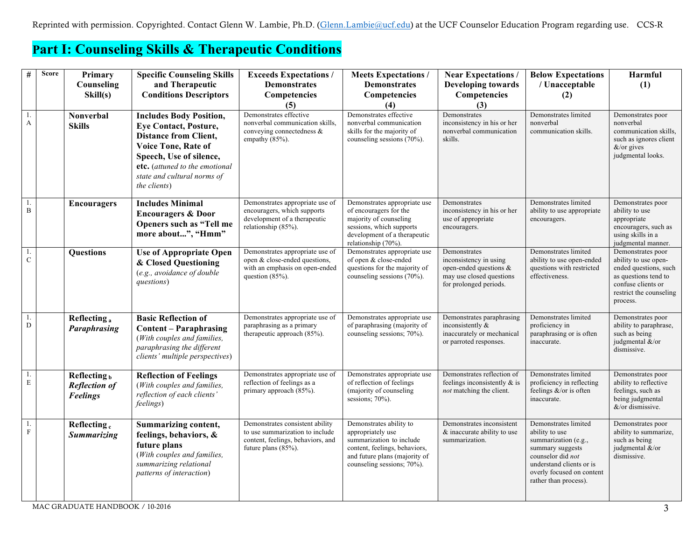## **Part I: Counseling Skills & Therapeutic Conditions**

| #                   | <b>Score</b> | Primary<br>Counseling                                     | <b>Specific Counseling Skills</b><br>and Therapeutic                                                                                                                                                                                     | <b>Exceeds Expectations /</b><br><b>Demonstrates</b>                                                                              | <b>Meets Expectations /</b><br><b>Demonstrates</b>                                                                                                                       | <b>Near Expectations</b> /<br><b>Developing towards</b>                                                                | <b>Below Expectations</b><br>/ Unacceptable                                                                                                                                                      | Harmful<br>(1)                                                                                                                                          |
|---------------------|--------------|-----------------------------------------------------------|------------------------------------------------------------------------------------------------------------------------------------------------------------------------------------------------------------------------------------------|-----------------------------------------------------------------------------------------------------------------------------------|--------------------------------------------------------------------------------------------------------------------------------------------------------------------------|------------------------------------------------------------------------------------------------------------------------|--------------------------------------------------------------------------------------------------------------------------------------------------------------------------------------------------|---------------------------------------------------------------------------------------------------------------------------------------------------------|
|                     |              | Skill(s)                                                  | <b>Conditions Descriptors</b>                                                                                                                                                                                                            | Competencies                                                                                                                      | Competencies                                                                                                                                                             | Competencies                                                                                                           | (2)                                                                                                                                                                                              |                                                                                                                                                         |
| $1.$<br>$\mathbf A$ |              | <b>Nonverbal</b><br><b>Skills</b>                         | <b>Includes Body Position,</b><br><b>Eye Contact, Posture,</b><br><b>Distance from Client,</b><br><b>Voice Tone, Rate of</b><br>Speech, Use of silence,<br>etc. (attuned to the emotional<br>state and cultural norms of<br>the clients) | (5)<br>Demonstrates effective<br>nonverbal communication skills,<br>conveying connectedness $\&$<br>empathy (85%).                | (4)<br>Demonstrates effective<br>nonverbal communication<br>skills for the majority of<br>counseling sessions (70%).                                                     | (3)<br>Demonstrates<br>inconsistency in his or her<br>nonverbal communication<br>skills.                               | Demonstrates limited<br>nonverbal<br>communication skills.                                                                                                                                       | Demonstrates poor<br>nonverbal<br>communication skills,<br>such as ignores client<br>$&$ /or gives<br>judgmental looks.                                 |
| 1.<br>$\, {\bf B}$  |              | <b>Encouragers</b>                                        | <b>Includes Minimal</b><br><b>Encouragers &amp; Door</b><br>Openers such as "Tell me<br>more about", "Hmm"                                                                                                                               | Demonstrates appropriate use of<br>encouragers, which supports<br>development of a therapeutic<br>relationship (85%).             | Demonstrates appropriate use<br>of encouragers for the<br>majority of counseling<br>sessions, which supports<br>development of a therapeutic<br>relationship (70%).      | Demonstrates<br>inconsistency in his or her<br>use of appropriate<br>encouragers.                                      | Demonstrates limited<br>ability to use appropriate<br>encouragers.                                                                                                                               | Demonstrates poor<br>ability to use<br>appropriate<br>encouragers, such as<br>using skills in a<br>judgmental manner.                                   |
| 1.<br>$\mathbf C$   |              | Questions                                                 | <b>Use of Appropriate Open</b><br>& Closed Questioning<br>(e.g., avoidance of double<br>questions)                                                                                                                                       | Demonstrates appropriate use of<br>open & close-ended questions,<br>with an emphasis on open-ended<br>question $(85%)$ .          | Demonstrates appropriate use<br>of open & close-ended<br>questions for the majority of<br>counseling sessions (70%).                                                     | Demonstrates<br>inconsistency in using<br>open-ended questions &<br>may use closed questions<br>for prolonged periods. | Demonstrates limited<br>ability to use open-ended<br>questions with restricted<br>effectiveness.                                                                                                 | Demonstrates poor<br>ability to use open-<br>ended questions, such<br>as questions tend to<br>confuse clients or<br>restrict the counseling<br>process. |
| 1.<br>D             |              | Reflecting <sub>a</sub><br><b>Paraphrasing</b>            | <b>Basic Reflection of</b><br><b>Content - Paraphrasing</b><br>(With couples and families,<br>paraphrasing the different<br>clients' multiple perspectives)                                                                              | Demonstrates appropriate use of<br>paraphrasing as a primary<br>therapeutic approach (85%).                                       | Demonstrates appropriate use<br>of paraphrasing (majority of<br>counseling sessions; 70%).                                                                               | Demonstrates paraphrasing<br>inconsistently $\&$<br>inaccurately or mechanical<br>or parroted responses.               | Demonstrates limited<br>proficiency in<br>paraphrasing or is often<br>inaccurate.                                                                                                                | Demonstrates poor<br>ability to paraphrase,<br>such as being<br>judgmental &/or<br>dismissive.                                                          |
| 1.<br>$\mathbf E$   |              | Reflecting $b$<br><b>Reflection of</b><br><b>Feelings</b> | <b>Reflection of Feelings</b><br>(With couples and families,<br>reflection of each clients'<br>feelings)                                                                                                                                 | Demonstrates appropriate use of<br>reflection of feelings as a<br>primary approach (85%).                                         | Demonstrates appropriate use<br>of reflection of feelings<br>(majority of counseling)<br>sessions; 70%).                                                                 | Demonstrates reflection of<br>feelings inconsistently $\&$ is<br>not matching the client.                              | Demonstrates limited<br>proficiency in reflecting<br>feelings $\&$ /or is often<br>inaccurate.                                                                                                   | Demonstrates poor<br>ability to reflective<br>feelings, such as<br>being judgmental<br>$&$ /or dismissive.                                              |
| 1.<br>$\mathbf F$   |              | Reflecting <sub>c</sub><br><b>Summarizing</b>             | <b>Summarizing content,</b><br>feelings, behaviors, &<br>future plans<br>(With couples and families,<br>summarizing relational<br>patterns of interaction)                                                                               | Demonstrates consistent ability<br>to use summarization to include<br>content, feelings, behaviors, and<br>future plans $(85%)$ . | Demonstrates ability to<br>appropriately use<br>summarization to include<br>content, feelings, behaviors,<br>and future plans (majority of<br>counseling sessions; 70%). | Demonstrates inconsistent<br>& inaccurate ability to use<br>summarization.                                             | Demonstrates limited<br>ability to use<br>summarization (e.g.,<br>summary suggests<br>counselor did <i>not</i><br>understand clients or is<br>overly focused on content<br>rather than process). | Demonstrates poor<br>ability to summarize,<br>such as being<br>judgmental &/or<br>dismissive.                                                           |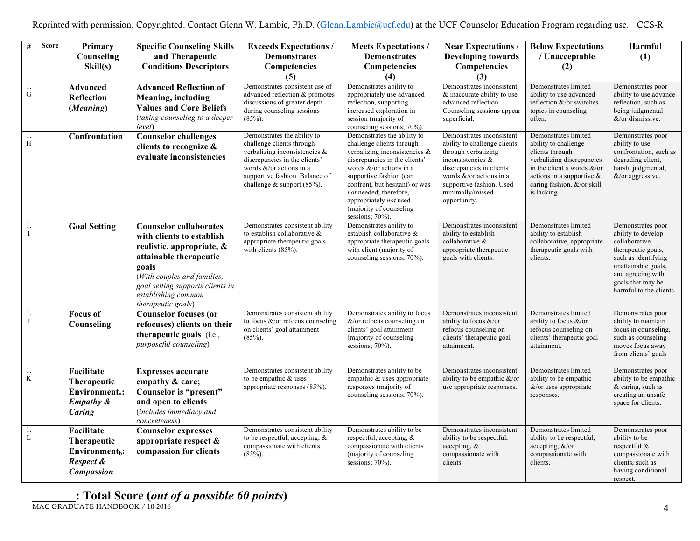| $\#$              | <b>Score</b> | Primary<br>Counseling<br>Skill(s)                                                         | <b>Specific Counseling Skills</b><br>and Therapeutic<br><b>Conditions Descriptors</b>                                                                                                                                                      | <b>Exceeds Expectations /</b><br><b>Demonstrates</b><br>Competencies<br>(5)                                                                                                                                                | <b>Meets Expectations/</b><br><b>Demonstrates</b><br>Competencies<br>(4)                                                                                                                                                                                                                                                      | <b>Near Expectations /</b><br><b>Developing towards</b><br>Competencies<br>(3)                                                                                                                                                     | <b>Below Expectations</b><br>/ Unacceptable<br>(2)                                                                                                                                                              | Harmful<br>(1)                                                                                                                                                                                    |
|-------------------|--------------|-------------------------------------------------------------------------------------------|--------------------------------------------------------------------------------------------------------------------------------------------------------------------------------------------------------------------------------------------|----------------------------------------------------------------------------------------------------------------------------------------------------------------------------------------------------------------------------|-------------------------------------------------------------------------------------------------------------------------------------------------------------------------------------------------------------------------------------------------------------------------------------------------------------------------------|------------------------------------------------------------------------------------------------------------------------------------------------------------------------------------------------------------------------------------|-----------------------------------------------------------------------------------------------------------------------------------------------------------------------------------------------------------------|---------------------------------------------------------------------------------------------------------------------------------------------------------------------------------------------------|
| 1.<br>${\bf G}$   |              | <b>Advanced</b><br><b>Reflection</b><br>(Meaning)                                         | <b>Advanced Reflection of</b><br>Meaning, including<br><b>Values and Core Beliefs</b><br>(taking counseling to a deeper<br>level)                                                                                                          | Demonstrates consistent use of<br>advanced reflection & promotes<br>discussions of greater depth<br>during counseling sessions<br>$(85\%)$ .                                                                               | Demonstrates ability to<br>appropriately use advanced<br>reflection, supporting<br>increased exploration in<br>session (majority of<br>counseling sessions; 70%).                                                                                                                                                             | Demonstrates inconsistent<br>& inaccurate ability to use<br>advanced reflection.<br>Counseling sessions appear<br>superficial.                                                                                                     | Demonstrates limited<br>ability to use advanced<br>reflection &/or switches<br>topics in counseling<br>often.                                                                                                   | Demonstrates poor<br>ability to use advance<br>reflection, such as<br>being judgmental<br>$&$ /or dismissive.                                                                                     |
| 1.<br>H           |              | Confrontation                                                                             | Counselor challenges<br>clients to recognize &<br>evaluate inconsistencies                                                                                                                                                                 | Demonstrates the ability to<br>challenge clients through<br>verbalizing inconsistencies $\&$<br>discrepancies in the clients'<br>words &/or actions in a<br>supportive fashion. Balance of<br>challenge $&$ support (85%). | Demonstrates the ability to<br>challenge clients through<br>verbalizing inconsistencies $\&$<br>discrepancies in the clients'<br>words $&\&/$ or actions in a<br>supportive fashion (can<br>confront, but hesitant) or was<br>not needed; therefore,<br>appropriately not used<br>(majority of counseling)<br>sessions; 70%). | Demonstrates inconsistent<br>ability to challenge clients<br>through verbalizing<br>inconsistencies &<br>discrepancies in clients'<br>words $&\&/$ or actions in a<br>supportive fashion. Used<br>minimally/missed<br>opportunity. | Demonstrates limited<br>ability to challenge<br>clients through<br>verbalizing discrepancies<br>in the client's words $\&$ /or<br>actions in a supportive $\&$<br>caring fashion, $\&$ /or skill<br>is lacking. | Demonstrates poor<br>ability to use<br>confrontation, such as<br>degrading client,<br>harsh, judgmental,<br>&/or aggressive.                                                                      |
| 1.<br>$\mathbf I$ |              | <b>Goal Setting</b>                                                                       | <b>Counselor collaborates</b><br>with clients to establish<br>realistic, appropriate, &<br>attainable therapeutic<br>goals<br>(With couples and families,<br>goal setting supports clients in<br>establishing common<br>therapeutic goals) | Demonstrates consistent ability<br>to establish collaborative &<br>appropriate therapeutic goals<br>with clients $(85%)$ .                                                                                                 | Demonstrates ability to<br>establish collaborative &<br>appropriate therapeutic goals<br>with client (majority of<br>counseling sessions; 70%).                                                                                                                                                                               | Demonstrates inconsistent<br>ability to establish<br>collaborative &<br>appropriate therapeutic<br>goals with clients.                                                                                                             | Demonstrates limited<br>ability to establish<br>collaborative, appropriate<br>therapeutic goals with<br>clients.                                                                                                | Demonstrates poor<br>ability to develop<br>collaborative<br>therapeutic goals,<br>such as identifying<br>unattainable goals,<br>and agreeing with<br>goals that may be<br>harmful to the clients. |
| 1.<br>J           |              | <b>Focus of</b><br>Counseling                                                             | <b>Counselor</b> focuses (or<br>refocuses) clients on their<br>therapeutic goals (i.e.,<br>purposeful counseling)                                                                                                                          | Demonstrates consistent ability<br>to focus $\&$ /or refocus counseling<br>on clients' goal attainment<br>$(85\%)$ .                                                                                                       | Demonstrates ability to focus<br>$&\sqrt{\ }$ or refocus counseling on<br>clients' goal attainment<br>(majority of counseling)<br>sessions; 70%).                                                                                                                                                                             | Demonstrates inconsistent<br>ability to focus $\&$ /or<br>refocus counseling on<br>clients' therapeutic goal<br>attainment.                                                                                                        | Demonstrates limited<br>ability to focus $\&$ /or<br>refocus counseling on<br>clients' therapeutic goal<br>attainment.                                                                                          | Demonstrates poor<br>ability to maintain<br>focus in counseling.<br>such as counseling<br>moves focus away<br>from clients' goals                                                                 |
| 1.<br>$\rm K$     |              | Facilitate<br>Therapeutic<br>Environment <sub>a</sub> :<br><b>Empathy &amp;</b><br>Caring | <b>Expresses accurate</b><br>empathy & care;<br>Counselor is "present"<br>and open to clients<br>(includes immediacy and<br>concreteness)                                                                                                  | Demonstrates consistent ability<br>to be empathic & uses<br>appropriate responses (85%).                                                                                                                                   | Demonstrates ability to be<br>empathic & uses appropriate<br>responses (majority of<br>counseling sessions; 70%).                                                                                                                                                                                                             | Demonstrates inconsistent<br>ability to be empathic $\&$ /or<br>use appropriate responses.                                                                                                                                         | Demonstrates limited<br>ability to be empathic<br>$&$ /or uses appropriate<br>responses.                                                                                                                        | Demonstrates poor<br>ability to be empathic<br>& caring, such as<br>creating an unsafe<br>space for clients.                                                                                      |
| 1.<br>L           |              | Facilitate<br>Therapeutic<br>Environment <sub>b</sub> :<br>Respect &<br><b>Compassion</b> | <b>Counselor expresses</b><br>appropriate respect &<br>compassion for clients                                                                                                                                                              | Demonstrates consistent ability<br>to be respectful, accepting, $\&$<br>compassionate with clients<br>$(85%)$ .                                                                                                            | Demonstrates ability to be<br>respectful, accepting, $\&$<br>compassionate with clients<br>(majority of counseling<br>sessions; 70%).                                                                                                                                                                                         | Demonstrates inconsistent<br>ability to be respectful,<br>accepting, $\&$<br>compassionate with<br>clients.                                                                                                                        | Demonstrates limited<br>ability to be respectful,<br>accepting, $&\text{/or}$<br>compassionate with<br>clients.                                                                                                 | Demonstrates poor<br>ability to be<br>respectful &<br>compassionate with<br>clients, such as<br>having conditional<br>respect.                                                                    |

**\_\_\_\_\_\_\_: Total Score (***out of a possible 60 points***)**

MAC GRADUATE HANDBOOK / 10-2016 4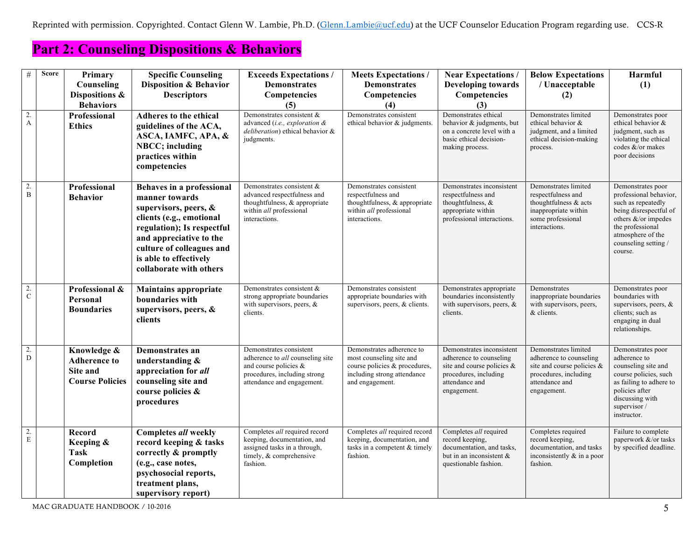Reprinted with permission. Copyrighted. Contact Glenn W. Lambie, Ph.D. [\(Glenn.Lambie@ucf.edu](mailto:Glenn.Lambie@ucf.edu)) at the UCF Counselor Education Program regarding use. CCS-R

## **Part 2: Counseling Dispositions & Behaviors**

| $\#$          | <b>Score</b> | Primary<br>Counseling<br>Dispositions &                                  | <b>Specific Counseling</b><br><b>Disposition &amp; Behavior</b><br><b>Descriptors</b>                                                                                                                                                       | <b>Exceeds Expectations /</b><br><b>Demonstrates</b><br>Competencies                                                                                      | <b>Meets Expectations /</b><br><b>Demonstrates</b><br>Competencies                                                                       | <b>Near Expectations</b> /<br><b>Developing towards</b><br>Competencies                                                                      | <b>Below Expectations</b><br>/ Unacceptable                                                                                             | Harmful<br>(1)                                                                                                                                                                                 |
|---------------|--------------|--------------------------------------------------------------------------|---------------------------------------------------------------------------------------------------------------------------------------------------------------------------------------------------------------------------------------------|-----------------------------------------------------------------------------------------------------------------------------------------------------------|------------------------------------------------------------------------------------------------------------------------------------------|----------------------------------------------------------------------------------------------------------------------------------------------|-----------------------------------------------------------------------------------------------------------------------------------------|------------------------------------------------------------------------------------------------------------------------------------------------------------------------------------------------|
|               |              | <b>Behaviors</b>                                                         |                                                                                                                                                                                                                                             | (5)                                                                                                                                                       | (4)                                                                                                                                      | (3)                                                                                                                                          | (2)                                                                                                                                     |                                                                                                                                                                                                |
| $\frac{2}{A}$ |              | Professional<br><b>Ethics</b>                                            | Adheres to the ethical<br>guidelines of the ACA,<br>ASCA, IAMFC, APA, &<br>NBCC; including<br>practices within<br>competencies                                                                                                              | Demonstrates consistent &<br>advanced (i.e., exploration &<br>deliberation) ethical behavior &<br>judgments.                                              | Demonstrates consistent<br>ethical behavior & judgments.                                                                                 | Demonstrates ethical<br>behavior & judgments, but<br>on a concrete level with a<br>basic ethical decision-<br>making process.                | Demonstrates limited<br>ethical behavior &<br>judgment, and a limited<br>ethical decision-making<br>process.                            | Demonstrates poor<br>ethical behavior &<br>judgment, such as<br>violating the ethical<br>codes &/or makes<br>poor decisions                                                                    |
| $\frac{2}{B}$ |              | Professional<br><b>Behavior</b>                                          | Behaves in a professional<br>manner towards<br>supervisors, peers, &<br>clients (e.g., emotional<br>regulation); Is respectful<br>and appreciative to the<br>culture of colleagues and<br>is able to effectively<br>collaborate with others | Demonstrates consistent &<br>advanced respectfulness and<br>thoughtfulness, & appropriate<br>within all professional<br>interactions.                     | Demonstrates consistent<br>respectfulness and<br>thoughtfulness, & appropriate<br>within all professional<br>interactions.               | Demonstrates inconsistent<br>respectfulness and<br>thoughtfulness, &<br>appropriate within<br>professional interactions.                     | Demonstrates limited<br>respectfulness and<br>thoughtfulness & acts<br>inappropriate within<br>some professional<br>interactions.       | Demonstrates poor<br>professional behavior,<br>such as repeatedly<br>being disrespectful of<br>others &/or impedes<br>the professional<br>atmosphere of the<br>counseling setting /<br>course. |
| $\frac{2}{C}$ |              | Professional &<br>Personal<br><b>Boundaries</b>                          | <b>Maintains appropriate</b><br>boundaries with<br>supervisors, peers, &<br>clients                                                                                                                                                         | Demonstrates consistent &<br>strong appropriate boundaries<br>with supervisors, peers, $\&$<br>clients.                                                   | Demonstrates consistent<br>appropriate boundaries with<br>supervisors, peers, & clients.                                                 | Demonstrates appropriate<br>boundaries inconsistently<br>with supervisors, peers, $\&$<br>clients.                                           | Demonstrates<br>inappropriate boundaries<br>with supervisors, peers,<br>& clients.                                                      | Demonstrates poor<br>boundaries with<br>supervisors, peers, $\&$<br>clients; such as<br>engaging in dual<br>relationships.                                                                     |
| $\frac{2}{D}$ |              | Knowledge &<br><b>Adherence to</b><br>Site and<br><b>Course Policies</b> | Demonstrates an<br>understanding &<br>appreciation for all<br>counseling site and<br>course policies &<br>procedures                                                                                                                        | Demonstrates consistent<br>adherence to <i>all</i> counseling site<br>and course policies &<br>procedures, including strong<br>attendance and engagement. | Demonstrates adherence to<br>most counseling site and<br>course policies & procedures,<br>including strong attendance<br>and engagement. | Demonstrates inconsistent<br>adherence to counseling<br>site and course policies &<br>procedures, including<br>attendance and<br>engagement. | Demonstrates limited<br>adherence to counseling<br>site and course policies &<br>procedures, including<br>attendance and<br>engagement. | Demonstrates poor<br>adherence to<br>counseling site and<br>course policies, such<br>as failing to adhere to<br>policies after<br>discussing with<br>supervisor /<br>instructor.               |
| $2.$ $\rm{E}$ |              | <b>Record</b><br>Keeping &<br><b>Task</b><br>Completion                  | <b>Completes all weekly</b><br>record keeping & tasks<br>correctly & promptly<br>(e.g., case notes,<br>psychosocial reports,<br>treatment plans,<br>supervisory report)                                                                     | Completes all required record<br>keeping, documentation, and<br>assigned tasks in a through,<br>timely, & comprehensive<br>fashion.                       | Completes all required record<br>keeping, documentation, and<br>tasks in a competent & timely<br>fashion.                                | Completes all required<br>record keeping,<br>documentation, and tasks,<br>but in an inconsistent &<br>questionable fashion.                  | Completes required<br>record keeping,<br>documentation, and tasks<br>inconsistently $\&$ in a poor<br>fashion.                          | Failure to complete<br>paperwork &/or tasks<br>by specified deadline.                                                                                                                          |

MAC GRADUATE HANDBOOK / 10-2016 5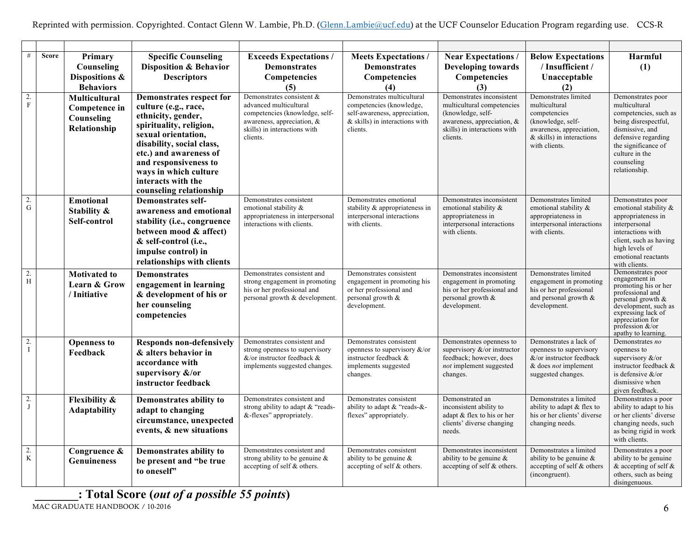| #                     | <b>Score</b> | Primary<br>Counseling<br>Dispositions &<br><b>Behaviors</b>    | <b>Specific Counseling</b><br><b>Disposition &amp; Behavior</b><br><b>Descriptors</b>                                                                                                                                                                                                     | <b>Exceeds Expectations /</b><br><b>Demonstrates</b><br>Competencies<br>(5)                                                                                     | <b>Meets Expectations /</b><br><b>Demonstrates</b><br>Competencies<br>(4)                                                               | <b>Near Expectations /</b><br><b>Developing towards</b><br>Competencies<br>(3)                                                                         | <b>Below Expectations</b><br>/ Insufficient /<br>Unacceptable<br>(2)                                                                                   | Harmful<br>(1)                                                                                                                                                                                                         |
|-----------------------|--------------|----------------------------------------------------------------|-------------------------------------------------------------------------------------------------------------------------------------------------------------------------------------------------------------------------------------------------------------------------------------------|-----------------------------------------------------------------------------------------------------------------------------------------------------------------|-----------------------------------------------------------------------------------------------------------------------------------------|--------------------------------------------------------------------------------------------------------------------------------------------------------|--------------------------------------------------------------------------------------------------------------------------------------------------------|------------------------------------------------------------------------------------------------------------------------------------------------------------------------------------------------------------------------|
| $\frac{2}{F}$         |              | Multicultural<br>Competence in<br>Counseling<br>Relationship   | <b>Demonstrates respect for</b><br>culture (e.g., race,<br>ethnicity, gender,<br>spirituality, religion,<br>sexual orientation,<br>disability, social class,<br>etc.) and awareness of<br>and responsiveness to<br>ways in which culture<br>interacts with the<br>counseling relationship | Demonstrates consistent &<br>advanced multicultural<br>competencies (knowledge, self-<br>awareness, appreciation, &<br>skills) in interactions with<br>clients. | Demonstrates multicultural<br>competencies (knowledge,<br>self-awareness, appreciation,<br>$&$ skills) in interactions with<br>clients. | Demonstrates inconsistent<br>multicultural competencies<br>(knowledge, self-<br>awareness, appreciation, &<br>skills) in interactions with<br>clients. | Demonstrates limited<br>multicultural<br>competencies<br>(knowledge, self-<br>awareness, appreciation,<br>$&$ skills) in interactions<br>with clients. | Demonstrates poor<br>multicultural<br>competencies, such as<br>being disrespectful,<br>dismissive, and<br>defensive regarding<br>the significance of<br>culture in the<br>counseling<br>relationship.                  |
| $\frac{2}{G}$         |              | <b>Emotional</b><br>Stability &<br>Self-control                | <b>Demonstrates self-</b><br>awareness and emotional<br>stability (i.e., congruence<br>between mood & affect)<br>& self-control (i.e.,<br>impulse control) in<br>relationships with clients                                                                                               | Demonstrates consistent<br>emotional stability &<br>appropriateness in interpersonal<br>interactions with clients.                                              | Demonstrates emotional<br>stability & appropriateness in<br>interpersonal interactions<br>with clients.                                 | Demonstrates inconsistent<br>emotional stability &<br>appropriateness in<br>interpersonal interactions<br>with clients.                                | Demonstrates limited<br>emotional stability &<br>appropriateness in<br>interpersonal interactions<br>with clients.                                     | Demonstrates poor<br>emotional stability &<br>appropriateness in<br>interpersonal<br>interactions with<br>client, such as having<br>high levels of<br>emotional reactants<br>with clients.                             |
| $\overline{2}$ .<br>H |              | <b>Motivated to</b><br><b>Learn &amp; Grow</b><br>/ Initiative | <b>Demonstrates</b><br>engagement in learning<br>& development of his or<br>her counseling<br>competencies                                                                                                                                                                                | Demonstrates consistent and<br>strong engagement in promoting<br>his or her professional and<br>personal growth & development.                                  | Demonstrates consistent<br>engagement in promoting his<br>or her professional and<br>personal growth &<br>development.                  | Demonstrates inconsistent<br>engagement in promoting<br>his or her professional and<br>personal growth &<br>development.                               | Demonstrates limited<br>engagement in promoting<br>his or her professional<br>and personal growth &<br>development.                                    | Demonstrates poor<br>engagement in<br>promoting his or her<br>professional and<br>personal growth $\&$<br>development, such as<br>expressing lack of<br>appreciation for<br>profession $\&$ /or<br>apathy to learning. |
| $\frac{2}{I}$         |              | <b>Openness to</b><br>Feedback                                 | <b>Responds non-defensively</b><br>& alters behavior in<br>accordance with<br>supervisory &/or<br>instructor feedback                                                                                                                                                                     | Demonstrates consistent and<br>strong openness to supervisory<br>$&$ /or instructor feedback $&$<br>implements suggested changes.                               | Demonstrates consistent<br>openness to supervisory &/or<br>instructor feedback &<br>implements suggested<br>changes.                    | Demonstrates openness to<br>supervisory $&\&/$ or instructor<br>feedback; however, does<br>not implement suggested<br>changes.                         | Demonstrates a lack of<br>openness to supervisory<br>&/or instructor feedback<br>& does <i>not</i> implement<br>suggested changes.                     | Demonstrates no<br>openness to<br>supervisory $&\text{/or}$<br>instructor feedback &<br>is defensive &/or<br>dismissive when<br>given feedback.                                                                        |
| $\frac{2}{J}$         |              | <b>Flexibility &amp;</b><br><b>Adaptability</b>                | Demonstrates ability to<br>adapt to changing<br>circumstance, unexpected<br>events, & new situations                                                                                                                                                                                      | Demonstrates consistent and<br>strong ability to adapt & "reads-<br>&-flexes" appropriately.                                                                    | Demonstrates consistent<br>ability to adapt & "reads-&-<br>flexes" appropriately.                                                       | Demonstrated an<br>inconsistent ability to<br>adapt & flex to his or her<br>clients' diverse changing<br>needs.                                        | Demonstrates a limited<br>ability to adapt $&$ flex to<br>his or her clients' diverse<br>changing needs.                                               | Demonstrates a poor<br>ability to adapt to his<br>or her clients' diverse<br>changing needs, such<br>as being rigid in work<br>with clients.                                                                           |
| $\frac{2}{K}$         |              | Congruence &<br><b>Genuineness</b>                             | Demonstrates ability to<br>be present and "be true<br>to oneself"                                                                                                                                                                                                                         | Demonstrates consistent and<br>strong ability to be genuine $\&$<br>accepting of self & others.                                                                 | Demonstrates consistent<br>ability to be genuine $\&$<br>accepting of self & others.                                                    | Demonstrates inconsistent<br>ability to be genuine $\&$<br>accepting of self & others.                                                                 | Demonstrates a limited<br>ability to be genuine $\&$<br>accepting of self & others<br>(incongruent).                                                   | Demonstrates a poor<br>ability to be genuine<br>& accepting of self &<br>others, such as being<br>disingenuous.                                                                                                        |

**\_\_\_\_\_\_\_: Total Score (***out of a possible 55 points***)**